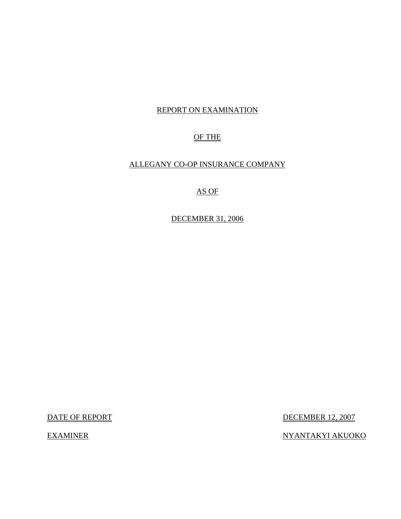# REPORT ON EXAMINATION

# OF THE

# ALLEGANY CO-OP INSURANCE COMPANY

# AS OF

DECEMBER 31, 2006

DATE OF REPORT DECEMBER 12, 2007

EXAMINER NYANTAKYI AKUOKO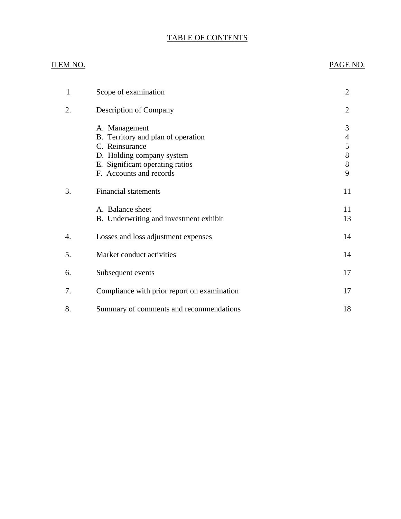# TABLE OF CONTENTS

# ITEM NO. PAGE NO.

| 1  | Scope of examination                                                                                                                                             | $\overline{2}$                                            |
|----|------------------------------------------------------------------------------------------------------------------------------------------------------------------|-----------------------------------------------------------|
| 2. | Description of Company                                                                                                                                           | $\overline{2}$                                            |
|    | A. Management<br>B. Territory and plan of operation<br>C. Reinsurance<br>D. Holding company system<br>E. Significant operating ratios<br>F. Accounts and records | 3<br>$\overline{\mathcal{A}}$<br>5<br>$8\,$<br>$8\,$<br>9 |
| 3. | <b>Financial statements</b>                                                                                                                                      | 11                                                        |
|    | A. Balance sheet<br>B. Underwriting and investment exhibit                                                                                                       | 11<br>13                                                  |
| 4. | Losses and loss adjustment expenses                                                                                                                              | 14                                                        |
| 5. | Market conduct activities                                                                                                                                        | 14                                                        |
| 6. | Subsequent events                                                                                                                                                | 17                                                        |
| 7. | Compliance with prior report on examination                                                                                                                      | 17                                                        |
| 8. | Summary of comments and recommendations                                                                                                                          | 18                                                        |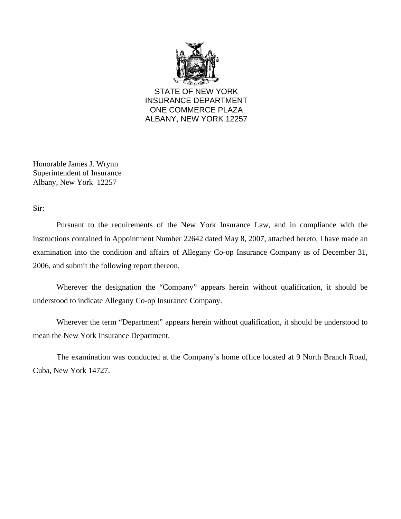

STATE OF NEW YORK INSURANCE DEPARTMENT ONE COMMERCE PLAZA ALBANY, NEW YORK 12257

Honorable James J. Wrynn Superintendent of Insurance Albany, New York 12257

Sir:

Pursuant to the requirements of the New York Insurance Law, and in compliance with the instructions contained in Appointment Number 22642 dated May 8, 2007, attached hereto, I have made an examination into the condition and affairs of Allegany Co-op Insurance Company as of December 31, 2006, and submit the following report thereon.

Wherever the designation the "Company" appears herein without qualification, it should be understood to indicate Allegany Co-op Insurance Company.

Wherever the term "Department" appears herein without qualification, it should be understood to mean the New York Insurance Department.

The examination was conducted at the Company's home office located at 9 North Branch Road, Cuba, New York 14727.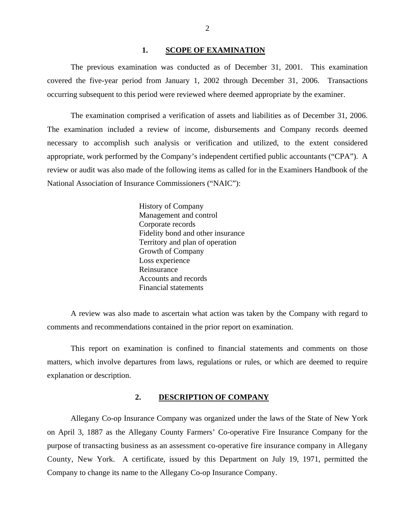### 1. SCOPE OF EXAMINATION

<span id="page-3-0"></span>The previous examination was conducted as of December 31, 2001. This examination covered the five-year period from January 1, 2002 through December 31, 2006. Transactions occurring subsequent to this period were reviewed where deemed appropriate by the examiner.

The examination comprised a verification of assets and liabilities as of December 31, 2006. The examination included a review of income, disbursements and Company records deemed necessary to accomplish such analysis or verification and utilized, to the extent considered appropriate, work performed by the Company's independent certified public accountants ("CPA"). A review or audit was also made of the following items as called for in the Examiners Handbook of the National Association of Insurance Commissioners ("NAIC"):

> History of Company Management and control Corporate records Fidelity bond and other insurance Territory and plan of operation Growth of Company Loss experience Reinsurance Accounts and records Financial statements

A review was also made to ascertain what action was taken by the Company with regard to comments and recommendations contained in the prior report on examination.

This report on examination is confined to financial statements and comments on those matters, which involve departures from laws, regulations or rules, or which are deemed to require explanation or description.

### **2. DESCRIPTION OF COMPANY**

Allegany Co-op Insurance Company was organized under the laws of the State of New York on April 3, 1887 as the Allegany County Farmers' Co-operative Fire Insurance Company for the purpose of transacting business as an assessment co-operative fire insurance company in Allegany County, New York. A certificate, issued by this Department on July 19, 1971, permitted the Company to change its name to the Allegany Co-op Insurance Company.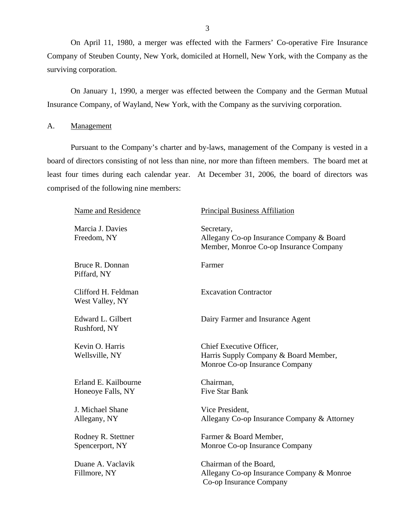<span id="page-4-0"></span>On April 11, 1980, a merger was effected with the Farmers' Co-operative Fire Insurance Company of Steuben County, New York, domiciled at Hornell, New York, with the Company as the surviving corporation.

On January 1, 1990, a merger was effected between the Company and the German Mutual Insurance Company, of Wayland, New York, with the Company as the surviving corporation.

A. Management

Pursuant to the Company's charter and by-laws, management of the Company is vested in a board of directors consisting of not less than nine, nor more than fifteen members. The board met at least four times during each calendar year. At December 31, 2006, the board of directors was comprised of the following nine members:

| Name and Residence                        | <b>Principal Business Affiliation</b>                                                               |
|-------------------------------------------|-----------------------------------------------------------------------------------------------------|
| Marcia J. Davies<br>Freedom, NY           | Secretary,<br>Allegany Co-op Insurance Company & Board<br>Member, Monroe Co-op Insurance Company    |
| Bruce R. Donnan<br>Piffard, NY            | Farmer                                                                                              |
| Clifford H. Feldman<br>West Valley, NY    | <b>Excavation Contractor</b>                                                                        |
| Edward L. Gilbert<br>Rushford, NY         | Dairy Farmer and Insurance Agent                                                                    |
| Kevin O. Harris<br>Wellsville, NY         | Chief Executive Officer,<br>Harris Supply Company & Board Member,<br>Monroe Co-op Insurance Company |
| Erland E. Kailbourne<br>Honeoye Falls, NY | Chairman,<br><b>Five Star Bank</b>                                                                  |
| J. Michael Shane<br>Allegany, NY          | Vice President,<br>Allegany Co-op Insurance Company & Attorney                                      |
| Rodney R. Stettner<br>Spencerport, NY     | Farmer & Board Member,<br>Monroe Co-op Insurance Company                                            |
| Duane A. Vaclavik<br>Fillmore, NY         | Chairman of the Board,<br>Allegany Co-op Insurance Company & Monroe<br>Co-op Insurance Company      |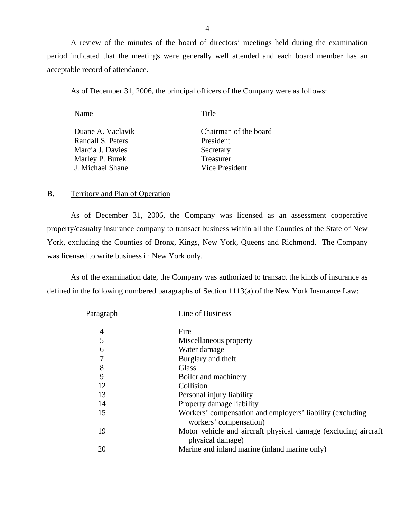<span id="page-5-0"></span>A review of the minutes of the board of directors' meetings held during the examination period indicated that the meetings were generally well attended and each board member has an acceptable record of attendance.

As of December 31, 2006, the principal officers of the Company were as follows:

| Name              | Title                 |
|-------------------|-----------------------|
| Duane A. Vaclavik | Chairman of the board |
| Randall S. Peters | President             |
| Marcia J. Davies  | Secretary             |
| Marley P. Burek   | Treasurer             |
| J. Michael Shane  | Vice President        |

### B. Territory and Plan of Operation

As of December 31, 2006, the Company was licensed as an assessment cooperative property/casualty insurance company to transact business within all the Counties of the State of New York, excluding the Counties of Bronx, Kings, New York, Queens and Richmond. The Company was licensed to write business in New York only.

As of the examination date, the Company was authorized to transact the kinds of insurance as defined in the following numbered paragraphs of Section 1113(a) of the New York Insurance Law:

| P <u>aragraph</u> | Line of Business                                                                    |
|-------------------|-------------------------------------------------------------------------------------|
| 4                 | Fire                                                                                |
| 5                 | Miscellaneous property                                                              |
| 6                 | Water damage                                                                        |
| 7                 | Burglary and theft                                                                  |
| 8                 | <b>Glass</b>                                                                        |
| 9                 | Boiler and machinery                                                                |
| 12                | Collision                                                                           |
| 13                | Personal injury liability                                                           |
| 14                | Property damage liability                                                           |
| 15                | Workers' compensation and employers' liability (excluding<br>workers' compensation) |
| 19                | Motor vehicle and aircraft physical damage (excluding aircraft)<br>physical damage) |
| 20                | Marine and inland marine (inland marine only)                                       |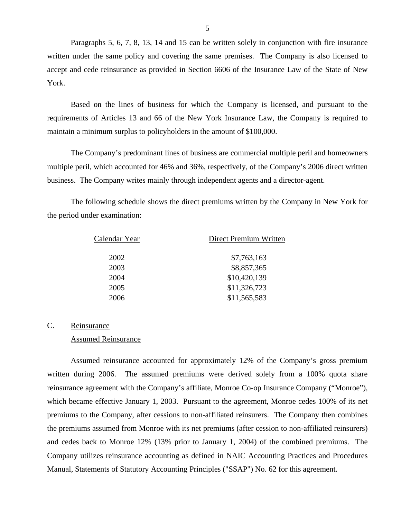Paragraphs 5, 6, 7, 8, 13, 14 and 15 can be written solely in conjunction with fire insurance written under the same policy and covering the same premises. The Company is also licensed to accept and cede reinsurance as provided in Section 6606 of the Insurance Law of the State of New York.

Based on the lines of business for which the Company is licensed, and pursuant to the requirements of Articles 13 and 66 of the New York Insurance Law, the Company is required to maintain a minimum surplus to policyholders in the amount of \$100,000.

The Company's predominant lines of business are commercial multiple peril and homeowners multiple peril, which accounted for 46% and 36%, respectively, of the Company's 2006 direct written business. The Company writes mainly through independent agents and a director-agent.

The following schedule shows the direct premiums written by the Company in New York for the period under examination:

| \$7,763,163<br>2002  | Direct Premium Written |  |  |
|----------------------|------------------------|--|--|
|                      |                        |  |  |
| \$8,857,365<br>2003  |                        |  |  |
| \$10,420,139<br>2004 |                        |  |  |
| \$11,326,723<br>2005 |                        |  |  |
| \$11,565,583<br>2006 |                        |  |  |

# C. Reinsurance

### Assumed Reinsurance

Assumed reinsurance accounted for approximately 12% of the Company's gross premium written during 2006. The assumed premiums were derived solely from a 100% quota share reinsurance agreement with the Company's affiliate, Monroe Co-op Insurance Company ("Monroe"), which became effective January 1, 2003. Pursuant to the agreement, Monroe cedes 100% of its net premiums to the Company, after cessions to non-affiliated reinsurers. The Company then combines the premiums assumed from Monroe with its net premiums (after cession to non-affiliated reinsurers) and cedes back to Monroe 12% (13% prior to January 1, 2004) of the combined premiums. The Company utilizes reinsurance accounting as defined in NAIC Accounting Practices and Procedures Manual, Statements of Statutory Accounting Principles ("SSAP") No. 62 for this agreement.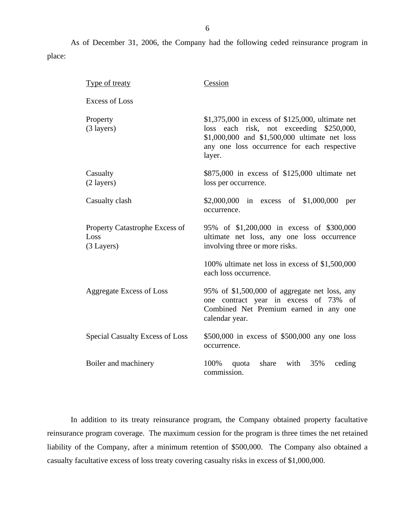As of December 31, 2006, the Company had the following ceded reinsurance program in place:

| <b>Type of treaty</b>                                | Cession                                                                                                                                                                                                   |
|------------------------------------------------------|-----------------------------------------------------------------------------------------------------------------------------------------------------------------------------------------------------------|
| <b>Excess of Loss</b>                                |                                                                                                                                                                                                           |
| Property<br>$(3$ layers)                             | \$1,375,000 in excess of \$125,000, ultimate net<br>each risk, not exceeding \$250,000,<br>loss<br>\$1,000,000 and \$1,500,000 ultimate net loss<br>any one loss occurrence for each respective<br>layer. |
| Casualty<br>(2 layers)                               | \$875,000 in excess of \$125,000 ultimate net<br>loss per occurrence.                                                                                                                                     |
| Casualty clash                                       | \$2,000,000 in excess of \$1,000,000<br>per<br>occurrence.                                                                                                                                                |
| Property Catastrophe Excess of<br>Loss<br>(3 Layers) | 95% of \$1,200,000 in excess of \$300,000<br>ultimate net loss, any one loss occurrence<br>involving three or more risks.                                                                                 |
|                                                      | 100% ultimate net loss in excess of \$1,500,000<br>each loss occurrence.                                                                                                                                  |
| <b>Aggregate Excess of Loss</b>                      | 95% of \$1,500,000 of aggregate net loss, any<br>one contract year in excess of 73% of<br>Combined Net Premium earned in any one<br>calendar year.                                                        |
| <b>Special Casualty Excess of Loss</b>               | $$500,000$ in excess of $$500,000$ any one loss<br>occurrence.                                                                                                                                            |
| Boiler and machinery                                 | 100%<br>with<br>35%<br>share<br>ceding<br>quota<br>commission.                                                                                                                                            |

In addition to its treaty reinsurance program, the Company obtained property facultative reinsurance program coverage. The maximum cession for the program is three times the net retained liability of the Company, after a minimum retention of \$500,000. The Company also obtained a casualty facultative excess of loss treaty covering casualty risks in excess of \$1,000,000.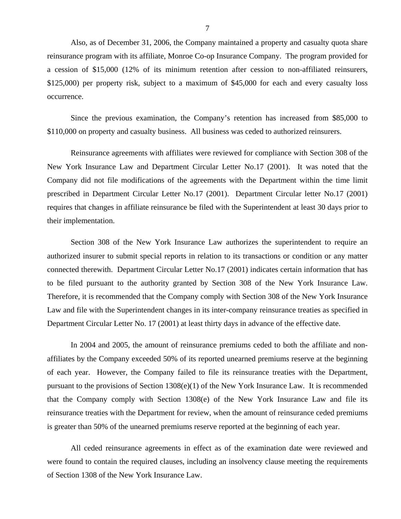Also, as of December 31, 2006, the Company maintained a property and casualty quota share reinsurance program with its affiliate, Monroe Co-op Insurance Company. The program provided for a cession of \$15,000 (12% of its minimum retention after cession to non-affiliated reinsurers, \$125,000) per property risk, subject to a maximum of \$45,000 for each and every casualty loss occurrence.

Since the previous examination, the Company's retention has increased from \$85,000 to \$110,000 on property and casualty business. All business was ceded to authorized reinsurers.

Reinsurance agreements with affiliates were reviewed for compliance with Section 308 of the New York Insurance Law and Department Circular Letter No.17 (2001). It was noted that the Company did not file modifications of the agreements with the Department within the time limit prescribed in Department Circular Letter No.17 (2001). Department Circular letter No.17 (2001) requires that changes in affiliate reinsurance be filed with the Superintendent at least 30 days prior to their implementation.

Section 308 of the New York Insurance Law authorizes the superintendent to require an authorized insurer to submit special reports in relation to its transactions or condition or any matter connected therewith. Department Circular Letter No.17 (2001) indicates certain information that has to be filed pursuant to the authority granted by Section 308 of the New York Insurance Law. Therefore, it is recommended that the Company comply with Section 308 of the New York Insurance Law and file with the Superintendent changes in its inter-company reinsurance treaties as specified in Department Circular Letter No. 17 (2001) at least thirty days in advance of the effective date.

In 2004 and 2005, the amount of reinsurance premiums ceded to both the affiliate and nonaffiliates by the Company exceeded 50% of its reported unearned premiums reserve at the beginning of each year. However, the Company failed to file its reinsurance treaties with the Department, pursuant to the provisions of Section 1308(e)(1) of the New York Insurance Law. It is recommended that the Company comply with Section 1308(e) of the New York Insurance Law and file its reinsurance treaties with the Department for review, when the amount of reinsurance ceded premiums is greater than 50% of the unearned premiums reserve reported at the beginning of each year.

All ceded reinsurance agreements in effect as of the examination date were reviewed and were found to contain the required clauses, including an insolvency clause meeting the requirements of Section 1308 of the New York Insurance Law.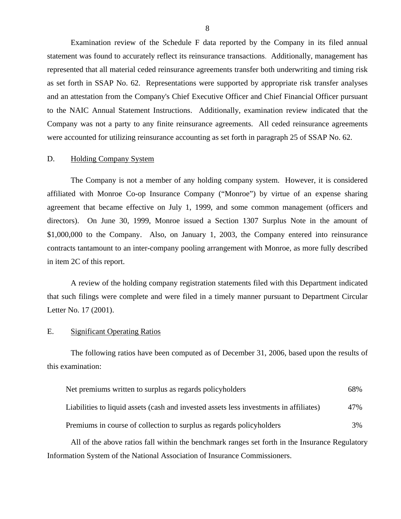Examination review of the Schedule F data reported by the Company in its filed annual statement was found to accurately reflect its reinsurance transactions. Additionally, management has represented that all material ceded reinsurance agreements transfer both underwriting and timing risk as set forth in SSAP No. 62. Representations were supported by appropriate risk transfer analyses and an attestation from the Company's Chief Executive Officer and Chief Financial Officer pursuant to the NAIC Annual Statement Instructions. Additionally, examination review indicated that the Company was not a party to any finite reinsurance agreements. All ceded reinsurance agreements were accounted for utilizing reinsurance accounting as set forth in paragraph 25 of SSAP No. 62.

### D. Holding Company System

The Company is not a member of any holding company system. However, it is considered affiliated with Monroe Co-op Insurance Company ("Monroe") by virtue of an expense sharing agreement that became effective on July 1, 1999, and some common management (officers and directors). On June 30, 1999, Monroe issued a Section 1307 Surplus Note in the amount of \$1,000,000 to the Company. Also, on January 1, 2003, the Company entered into reinsurance contracts tantamount to an inter-company pooling arrangement with Monroe, as more fully described in item 2C of this report.

A review of the holding company registration statements filed with this Department indicated that such filings were complete and were filed in a timely manner pursuant to Department Circular Letter No. 17 (2001).

### E. Significant Operating Ratios

The following ratios have been computed as of December 31, 2006, based upon the results of this examination:

| Net premiums written to surplus as regards policyholders                               | 68% |
|----------------------------------------------------------------------------------------|-----|
| Liabilities to liquid assets (cash and invested assets less investments in affiliates) | 47% |
| Premiums in course of collection to surplus as regards policyholders                   | 3%  |

All of the above ratios fall within the benchmark ranges set forth in the Insurance Regulatory Information System of the National Association of Insurance Commissioners.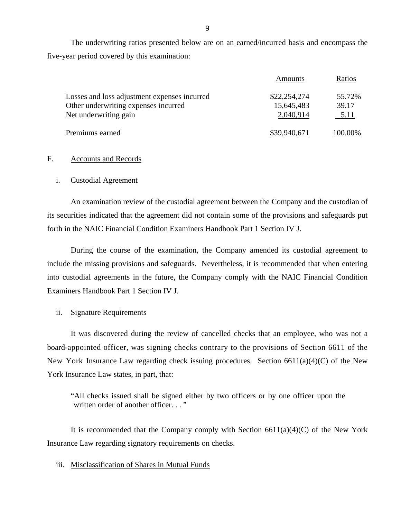The underwriting ratios presented below are on an earned/incurred basis and encompass the five-year period covered by this examination:

|                                              | Amounts      | Ratios  |
|----------------------------------------------|--------------|---------|
| Losses and loss adjustment expenses incurred | \$22,254,274 | 55.72%  |
| Other underwriting expenses incurred         | 15,645,483   | 39.17   |
| Net underwriting gain                        | 2,040,914    | 5.11    |
| Premiums earned                              | \$39,940,671 | 100.00% |

### F. Accounts and Records

### i. Custodial Agreement

An examination review of the custodial agreement between the Company and the custodian of its securities indicated that the agreement did not contain some of the provisions and safeguards put forth in the NAIC Financial Condition Examiners Handbook Part 1 Section IV J.

During the course of the examination, the Company amended its custodial agreement to include the missing provisions and safeguards. Nevertheless, it is recommended that when entering into custodial agreements in the future, the Company comply with the NAIC Financial Condition Examiners Handbook Part 1 Section IV J.

### ii. Signature Requirements

It was discovered during the review of cancelled checks that an employee, who was not a board-appointed officer, was signing checks contrary to the provisions of Section 6611 of the New York Insurance Law regarding check issuing procedures. Section 6611(a)(4)(C) of the New York Insurance Law states, in part, that:

"All checks issued shall be signed either by two officers or by one officer upon the written order of another officer..."

It is recommended that the Company comply with Section  $6611(a)(4)(C)$  of the New York Insurance Law regarding signatory requirements on checks.

### iii. Misclassification of Shares in Mutual Funds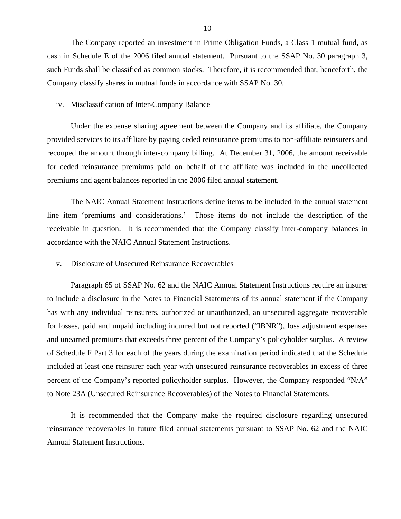The Company reported an investment in Prime Obligation Funds, a Class 1 mutual fund, as cash in Schedule E of the 2006 filed annual statement. Pursuant to the SSAP No. 30 paragraph 3, such Funds shall be classified as common stocks. Therefore, it is recommended that, henceforth, the Company classify shares in mutual funds in accordance with SSAP No. 30.

### iv. Misclassification of Inter-Company Balance

Under the expense sharing agreement between the Company and its affiliate, the Company provided services to its affiliate by paying ceded reinsurance premiums to non-affiliate reinsurers and recouped the amount through inter-company billing. At December 31, 2006, the amount receivable for ceded reinsurance premiums paid on behalf of the affiliate was included in the uncollected premiums and agent balances reported in the 2006 filed annual statement.

The NAIC Annual Statement Instructions define items to be included in the annual statement line item 'premiums and considerations.' Those items do not include the description of the receivable in question. It is recommended that the Company classify inter-company balances in accordance with the NAIC Annual Statement Instructions.

### v. Disclosure of Unsecured Reinsurance Recoverables

Paragraph 65 of SSAP No. 62 and the NAIC Annual Statement Instructions require an insurer to include a disclosure in the Notes to Financial Statements of its annual statement if the Company has with any individual reinsurers, authorized or unauthorized, an unsecured aggregate recoverable for losses, paid and unpaid including incurred but not reported ("IBNR"), loss adjustment expenses and unearned premiums that exceeds three percent of the Company's policyholder surplus. A review of Schedule F Part 3 for each of the years during the examination period indicated that the Schedule included at least one reinsurer each year with unsecured reinsurance recoverables in excess of three percent of the Company's reported policyholder surplus. However, the Company responded "N/A" to Note 23A (Unsecured Reinsurance Recoverables) of the Notes to Financial Statements.

It is recommended that the Company make the required disclosure regarding unsecured reinsurance recoverables in future filed annual statements pursuant to SSAP No. 62 and the NAIC Annual Statement Instructions.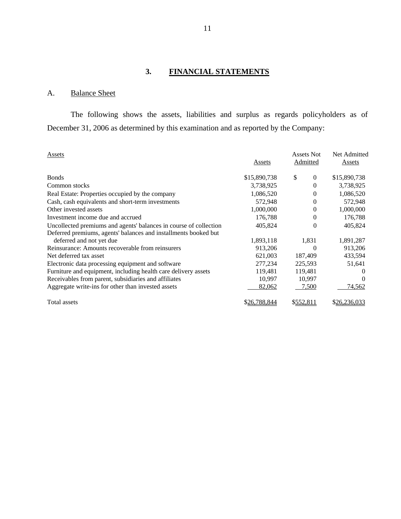# **3. FINANCIAL STATEMENTS**

# A. Balance Sheet

The following shows the assets, liabilities and surplus as regards policyholders as of December 31, 2006 as determined by this examination and as reported by the Company:

| Assets                                                            | Assets       | Assets Not<br><b>Admitted</b> | Net Admitted<br>Assets |
|-------------------------------------------------------------------|--------------|-------------------------------|------------------------|
| <b>Bonds</b>                                                      | \$15,890,738 | \$<br>$\theta$                | \$15,890,738           |
| Common stocks                                                     | 3,738,925    | $\Omega$                      | 3,738,925              |
| Real Estate: Properties occupied by the company                   | 1,086,520    | $\Omega$                      | 1,086,520              |
| Cash, cash equivalents and short-term investments                 | 572,948      | $\theta$                      | 572,948                |
| Other invested assets                                             | 1,000,000    | $\theta$                      | 1,000,000              |
| Investment income due and accrued                                 | 176,788      | $\theta$                      | 176,788                |
| Uncollected premiums and agents' balances in course of collection | 405,824      | $\theta$                      | 405,824                |
| Deferred premiums, agents' balances and installments booked but   |              |                               |                        |
| deferred and not yet due                                          | 1,893,118    | 1,831                         | 1,891,287              |
| Reinsurance: Amounts recoverable from reinsurers                  | 913,206      | 0                             | 913,206                |
| Net deferred tax asset                                            | 621,003      | 187,409                       | 433,594                |
| Electronic data processing equipment and software                 | 277,234      | 225,593                       | 51,641                 |
| Furniture and equipment, including health care delivery assets    | 119,481      | 119,481                       | $\theta$               |
| Receivables from parent, subsidiaries and affiliates              | 10,997       | 10,997                        |                        |
| Aggregate write-ins for other than invested assets                | 82,062       | 7,500                         | 74,562                 |
| Total assets                                                      | \$26.788.844 | \$552,811                     | \$26,236,033           |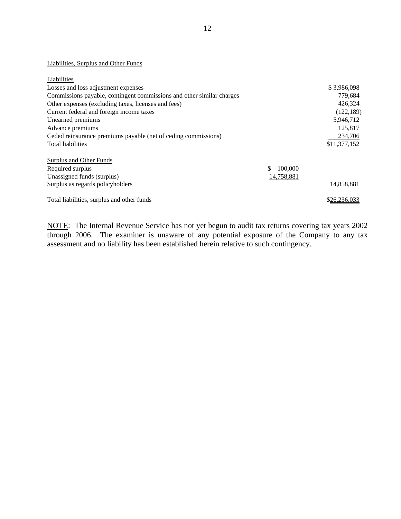### Liabilities, Surplus and Other Funds

| Liabilities                                                           |                |              |
|-----------------------------------------------------------------------|----------------|--------------|
| Losses and loss adjustment expenses                                   |                | \$3,986,098  |
| Commissions payable, contingent commissions and other similar charges |                | 779,684      |
| Other expenses (excluding taxes, licenses and fees)                   |                | 426,324      |
| Current federal and foreign income taxes                              |                | (122, 189)   |
| Unearned premiums                                                     |                | 5,946,712    |
| Advance premiums                                                      |                | 125,817      |
| Ceded reinsurance premiums payable (net of ceding commissions)        |                | 234,706      |
| <b>Total liabilities</b>                                              |                | \$11,377,152 |
| Surplus and Other Funds                                               |                |              |
| Required surplus                                                      | 100,000<br>\$. |              |
| Unassigned funds (surplus)                                            | 14,758,881     |              |
| Surplus as regards policyholders                                      |                | 14,858,881   |
| Total liabilities, surplus and other funds                            |                | \$26,236,033 |

NOTE: The Internal Revenue Service has not yet begun to audit tax returns covering tax years 2002 through 2006. The examiner is unaware of any potential exposure of the Company to any tax assessment and no liability has been established herein relative to such contingency.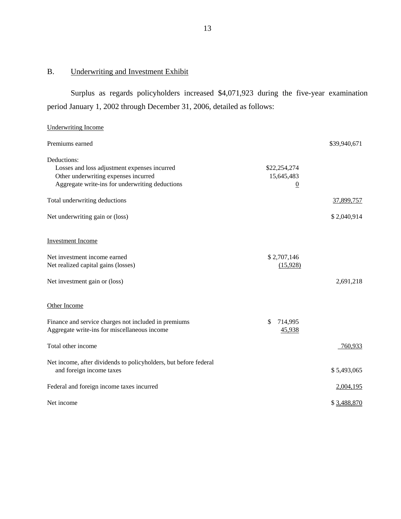### B. Underwriting and Investment Exhibit

Surplus as regards policyholders increased \$4,071,923 during the five-year examination period January 1, 2002 through December 31, 2006, detailed as follows:

# Underwriting Income Premiums earned  $$39,940,671$ Deductions: Losses and loss adjustment expenses incurred Other underwriting expenses incurred Aggregate write-ins for underwriting deductions \$22,254,274 15,645,483 0 Total underwriting deductions  $\frac{37,899,757}{2}$ Net underwriting gain or (loss) \$ 2,040,914 Investment Income Net investment income earned \$ 2,707,146 Net realized capital gains (losses) (15,928) Net investment gain or (loss) 2,691,218 Other Income Finance and service charges not included in premiums  $\frac{\$}{2}$  714,995 Aggregate write-ins for miscellaneous income 45,938 Total other income 760,933 Net income, after dividends to policyholders, but before federal and foreign income taxes  $$5,493,065$ Federal and foreign income taxes incurred 2,004,195 Net income  $$3,488,870$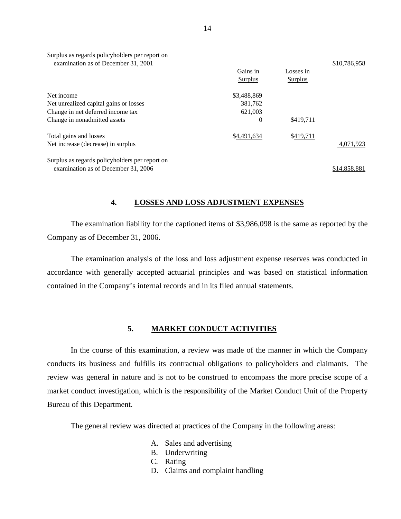<span id="page-15-0"></span>

| Surplus as regards policyholders per report on<br>examination as of December 31, 2001 |             |           | \$10,786,958 |
|---------------------------------------------------------------------------------------|-------------|-----------|--------------|
|                                                                                       | Gains in    | Losses in |              |
|                                                                                       | Surplus     | Surplus   |              |
| Net income                                                                            | \$3,488,869 |           |              |
| Net unrealized capital gains or losses                                                | 381,762     |           |              |
| Change in net deferred income tax                                                     | 621,003     |           |              |
| Change in nonadmitted assets                                                          |             | \$419,711 |              |
| Total gains and losses                                                                | \$4,491,634 | \$419,711 |              |
| Net increase (decrease) in surplus                                                    |             |           | 4,071,923    |
| Surplus as regards policyholders per report on                                        |             |           |              |
| examination as of December 31, 2006                                                   |             |           | \$14,858,881 |

# **4. LOSSES AND LOSS ADJUSTMENT EXPENSES**

The examination liability for the captioned items of \$3,986,098 is the same as reported by the Company as of December 31, 2006.

The examination analysis of the loss and loss adjustment expense reserves was conducted in accordance with generally accepted actuarial principles and was based on statistical information contained in the Company's internal records and in its filed annual statements.

## **5. MARKET CONDUCT ACTIVITIES**

In the course of this examination, a review was made of the manner in which the Company conducts its business and fulfills its contractual obligations to policyholders and claimants. The review was general in nature and is not to be construed to encompass the more precise scope of a market conduct investigation, which is the responsibility of the Market Conduct Unit of the Property Bureau of this Department.

The general review was directed at practices of the Company in the following areas:

- A. Sales and advertising
- B. Underwriting
- C. Rating
- D. Claims and complaint handling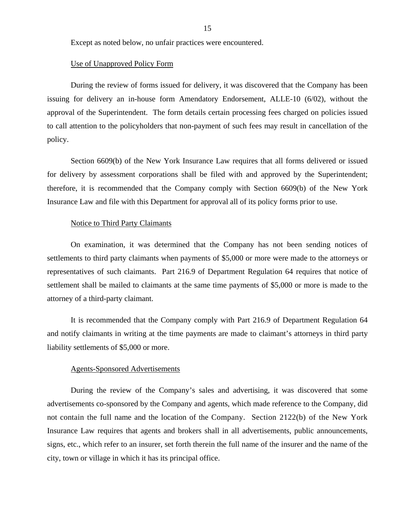Except as noted below, no unfair practices were encountered.

### Use of Unapproved Policy Form

During the review of forms issued for delivery, it was discovered that the Company has been issuing for delivery an in-house form Amendatory Endorsement, ALLE-10 (6/02), without the approval of the Superintendent. The form details certain processing fees charged on policies issued to call attention to the policyholders that non-payment of such fees may result in cancellation of the policy.

Section 6609(b) of the New York Insurance Law requires that all forms delivered or issued for delivery by assessment corporations shall be filed with and approved by the Superintendent; therefore, it is recommended that the Company comply with Section 6609(b) of the New York Insurance Law and file with this Department for approval all of its policy forms prior to use.

### Notice to Third Party Claimants

On examination, it was determined that the Company has not been sending notices of settlements to third party claimants when payments of \$5,000 or more were made to the attorneys or representatives of such claimants. Part 216.9 of Department Regulation 64 requires that notice of settlement shall be mailed to claimants at the same time payments of \$5,000 or more is made to the attorney of a third-party claimant.

It is recommended that the Company comply with Part 216.9 of Department Regulation 64 and notify claimants in writing at the time payments are made to claimant's attorneys in third party liability settlements of \$5,000 or more.

### Agents-Sponsored Advertisements

During the review of the Company's sales and advertising, it was discovered that some advertisements co-sponsored by the Company and agents, which made reference to the Company, did not contain the full name and the location of the Company. Section 2122(b) of the New York Insurance Law requires that agents and brokers shall in all advertisements, public announcements, signs, etc., which refer to an insurer, set forth therein the full name of the insurer and the name of the city, town or village in which it has its principal office.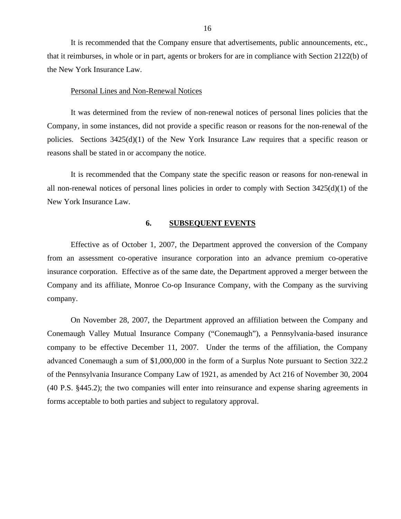It is recommended that the Company ensure that advertisements, public announcements, etc., that it reimburses, in whole or in part, agents or brokers for are in compliance with Section 2122(b) of the New York Insurance Law.

### Personal Lines and Non-Renewal Notices

It was determined from the review of non-renewal notices of personal lines policies that the Company, in some instances, did not provide a specific reason or reasons for the non-renewal of the policies. Sections 3425(d)(1) of the New York Insurance Law requires that a specific reason or reasons shall be stated in or accompany the notice.

It is recommended that the Company state the specific reason or reasons for non-renewal in all non-renewal notices of personal lines policies in order to comply with Section 3425(d)(1) of the New York Insurance Law.

### **6. SUBSEQUENT EVENTS**

Effective as of October 1, 2007, the Department approved the conversion of the Company from an assessment co-operative insurance corporation into an advance premium co-operative insurance corporation. Effective as of the same date, the Department approved a merger between the Company and its affiliate, Monroe Co-op Insurance Company, with the Company as the surviving company.

On November 28, 2007, the Department approved an affiliation between the Company and Conemaugh Valley Mutual Insurance Company ("Conemaugh"), a Pennsylvania-based insurance company to be effective December 11, 2007. Under the terms of the affiliation, the Company advanced Conemaugh a sum of \$1,000,000 in the form of a Surplus Note pursuant to Section 322.2 of the Pennsylvania Insurance Company Law of 1921, as amended by Act 216 of November 30, 2004 (40 P.S. §445.2); the two companies will enter into reinsurance and expense sharing agreements in forms acceptable to both parties and subject to regulatory approval.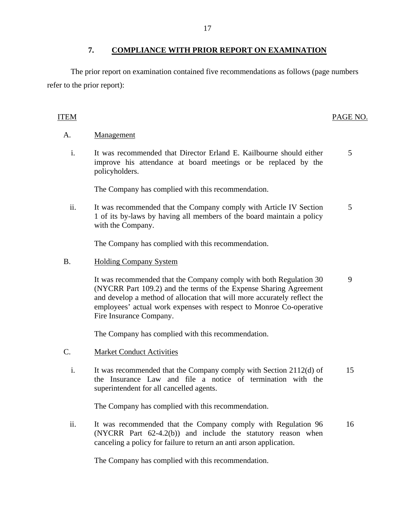<span id="page-18-0"></span>The prior report on examination contained five recommendations as follows (page numbers refer to the prior report):

# ITEM PAGE NO.

5

# A. Management

i. It was recommended that Director Erland E. Kailbourne should either improve his attendance at board meetings or be replaced by the policyholders.

The Company has complied with this recommendation.

ii. It was recommended that the Company comply with Article IV Section 1 of its by-laws by having all members of the board maintain a policy with the Company. 5

The Company has complied with this recommendation.

B. Holding Company System

It was recommended that the Company comply with both Regulation 30 (NYCRR Part 109.2) and the terms of the Expense Sharing Agreement and develop a method of allocation that will more accurately reflect the employees' actual work expenses with respect to Monroe Co-operative Fire Insurance Company. 9

The Company has complied with this recommendation.

- C. Market Conduct Activities
	- i. It was recommended that the Company comply with Section 2112(d) of the Insurance Law and file a notice of termination with the superintendent for all cancelled agents. 15

The Company has complied with this recommendation.

ii. It was recommended that the Company comply with Regulation 96 (NYCRR Part 62-4.2(b)) and include the statutory reason when canceling a policy for failure to return an anti arson application. 16

The Company has complied with this recommendation.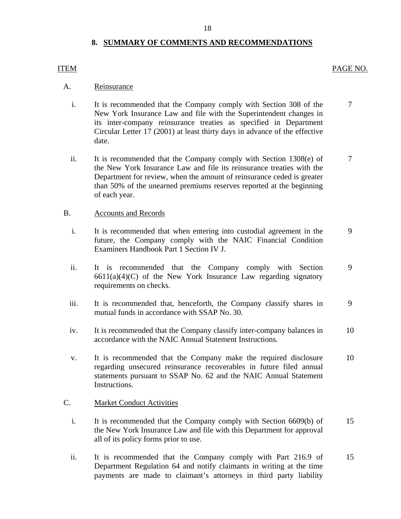# **8. SUMMARY OF COMMENTS AND RECOMMENDATIONS**

# <span id="page-19-0"></span>ITEM PAGE NO.

# A. Reinsurance

- i. It is recommended that the Company comply with Section 308 of the 7 New York Insurance Law and file with the Superintendent changes in its inter-company reinsurance treaties as specified in Department Circular Letter 17 (2001) at least thirty days in advance of the effective date.
- ii. It is recommended that the Company comply with Section 1308(e) of 7 the New York Insurance Law and file its reinsurance treaties with the Department for review, when the amount of reinsurance ceded is greater than 50% of the unearned premiums reserves reported at the beginning of each year.

## B. Accounts and Records

- i. It is recommended that when entering into custodial agreement in the 9 future, the Company comply with the NAIC Financial Condition Examiners Handbook Part 1 Section IV J.
- ii. It is recommended that the Company comply with Section 9  $6611(a)(4)(C)$  of the New York Insurance Law regarding signatory requirements on checks.
- iii. It is recommended that, henceforth, the Company classify shares in 9 mutual funds in accordance with SSAP No. 30.
- iv. It is recommended that the Company classify inter-company balances in 10 accordance with the NAIC Annual Statement Instructions.
- v. It is recommended that the Company make the required disclosure 10 regarding unsecured reinsurance recoverables in future filed annual statements pursuant to SSAP No. 62 and the NAIC Annual Statement Instructions.

## C. Market Conduct Activities

- i. It is recommended that the Company comply with Section 6609(b) of 15 the New York Insurance Law and file with this Department for approval all of its policy forms prior to use.
- ii. It is recommended that the Company comply with Part 216.9 of 15 Department Regulation 64 and notify claimants in writing at the time payments are made to claimant's attorneys in third party liability

18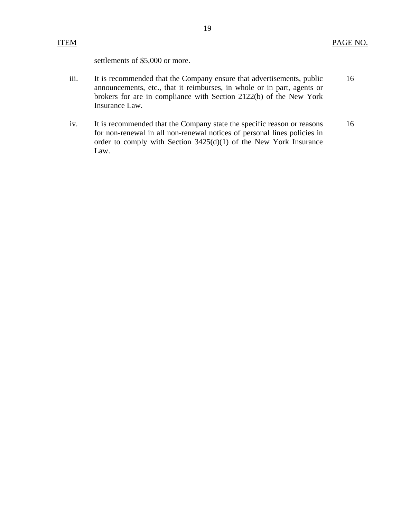settlements of \$5,000 or more.

- iii. It is recommended that the Company ensure that advertisements, public 16 announcements, etc., that it reimburses, in whole or in part, agents or brokers for are in compliance with Section 2122(b) of the New York Insurance Law.
- iv. It is recommended that the Company state the specific reason or reasons 16 for non-renewal in all non-renewal notices of personal lines policies in order to comply with Section 3425(d)(1) of the New York Insurance Law.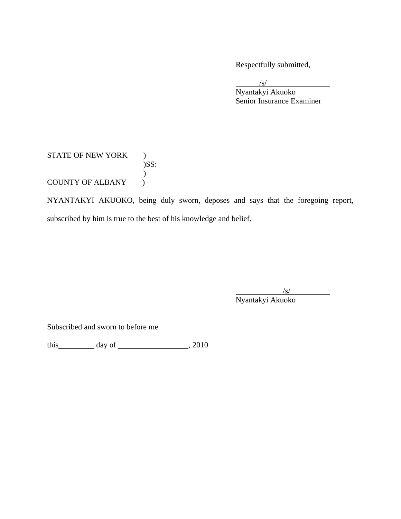Respectfully submitted,

 $\sqrt{s}$  Nyantakyi Akuoko Senior Insurance Examiner

# STATE OF NEW YORK ) )SS:  $\mathcal{L}$ COUNTY OF ALBANY  $\bigcup$

NYANTAKYI AKUOKO, being duly sworn, deposes and says that the foregoing report, subscribed by him is true to the best of his knowledge and belief.

 $\sqrt{s}$ Nyantakyi Akuoko

Subscribed and sworn to before me

this  $\frac{day \text{ of } (x,y) - (x,y) \text{ of } (x,y) \text{ of } (x,y) \text{ of } (x,y)$